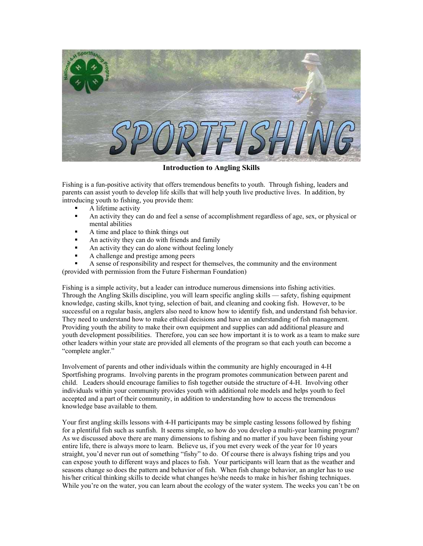

**Introduction to Angling Skills** 

Fishing is a fun-positive activity that offers tremendous benefits to youth. Through fishing, leaders and parents can assist youth to develop life skills that will help youth live productive lives. In addition, by introducing youth to fishing, you provide them:

- A lifetime activity
- An activity they can do and feel a sense of accomplishment regardless of age, sex, or physical or mental abilities
- A time and place to think things out
- An activity they can do with friends and family
- An activity they can do alone without feeling lonely
- A challenge and prestige among peers

 A sense of responsibility and respect for themselves, the community and the environment (provided with permission from the Future Fisherman Foundation)

Fishing is a simple activity, but a leader can introduce numerous dimensions into fishing activities. Through the Angling Skills discipline, you will learn specific angling skills — safety, fishing equipment knowledge, casting skills, knot tying, selection of bait, and cleaning and cooking fish. However, to be successful on a regular basis, anglers also need to know how to identify fish, and understand fish behavior. They need to understand how to make ethical decisions and have an understanding of fish management. Providing youth the ability to make their own equipment and supplies can add additional pleasure and youth development possibilities. Therefore, you can see how important it is to work as a team to make sure other leaders within your state are provided all elements of the program so that each youth can become a "complete angler."

Involvement of parents and other individuals within the community are highly encouraged in 4-H Sportfishing programs. Involving parents in the program promotes communication between parent and child. Leaders should encourage families to fish together outside the structure of 4-H. Involving other individuals within your community provides youth with additional role models and helps youth to feel accepted and a part of their community, in addition to understanding how to access the tremendous knowledge base available to them.

Your first angling skills lessons with 4-H participants may be simple casting lessons followed by fishing for a plentiful fish such as sunfish. It seems simple, so how do you develop a multi-year learning program? As we discussed above there are many dimensions to fishing and no matter if you have been fishing your entire life, there is always more to learn. Believe us, if you met every week of the year for 10 years straight, you'd never run out of something "fishy" to do. Of course there is always fishing trips and you can expose youth to different ways and places to fish. Your participants will learn that as the weather and seasons change so does the pattern and behavior of fish. When fish change behavior, an angler has to use his/her critical thinking skills to decide what changes he/she needs to make in his/her fishing techniques. While you're on the water, you can learn about the ecology of the water system. The weeks you can't be on